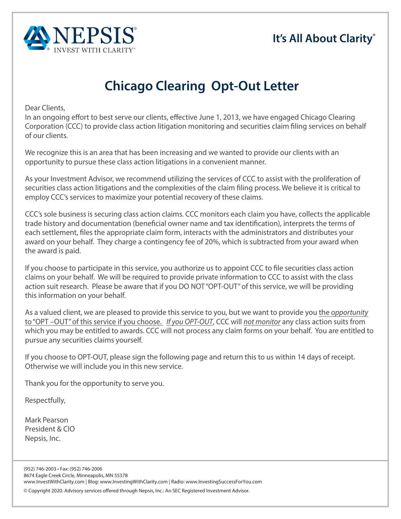## **It's All About Clarity®**



## **Chicago Clearing Opt-Out Letter**

Dear Clients,

In an ongoing efort to best serve our clients, efective June 1, 2013, we have engaged Chicago Clearing Corporation (CCC) to provide class action litigation monitoring and securities claim fling services on behalf of our clients.

We recognize this is an area that has been increasing and we wanted to provide our clients with an opportunity to pursue these class action litigations in a convenient manner.

As your Investment Advisor, we recommend utilizing the services of CCC to assist with the proliferation of securities class action litigations and the complexities of the claim fling process. We believe it is critical to employ CCC's services to maximize your potential recovery of these claims.

CCC's sole business is securing class action claims. CCC monitors each claim you have, collects the applicable trade history and documentation (benefcial owner name and tax identifcation), interprets the terms of each settlement, fles the appropriate claim form, interacts with the administrators and distributes your award on your behalf. They charge a contingency fee of 20%, which is subtracted from your award when the award is paid.

If you choose to participate in this service, you authorize us to appoint CCC to fle securities class action claims on your behalf. We will be required to provide private information to CCC to assist with the class action suit research. Please be aware that if you DO NOT"OPT-OUT" of this service, we will be providing this information on your behalf.

As a valued client, we are pleased to provide this service to you, but we want to provide you the *opportunity*  to "OPT –OUT" of this service if you choose. *If you OPT-OUT*, CCC will *not monitor* any class action suits from which you may be entitled to awards. CCC will not process any claim forms on your behalf. You are entitled to pursue any securities claims yourself.

If you choose to OPT-OUT, please sign the following page and return this to us within 14 days of receipt. Otherwise we will include you in this new service.

Thank you for the opportunity to serve you.

Respectfully,

Mark Pearson President & CIO Nepsis, Inc.

(952) 746-2003 • Fax: (952) 746-2006 8674 Eagle Creek Circle, Minneapolis, MN 55378 www.InvestWithClarity.com | Blog: www.InvestingWithClarity.com | Radio: www.InvestingSuccessForYou.com

© Copyright 2020. Advisory services offered through Nepsis, Inc.: An SEC Registered Investment Advisor.